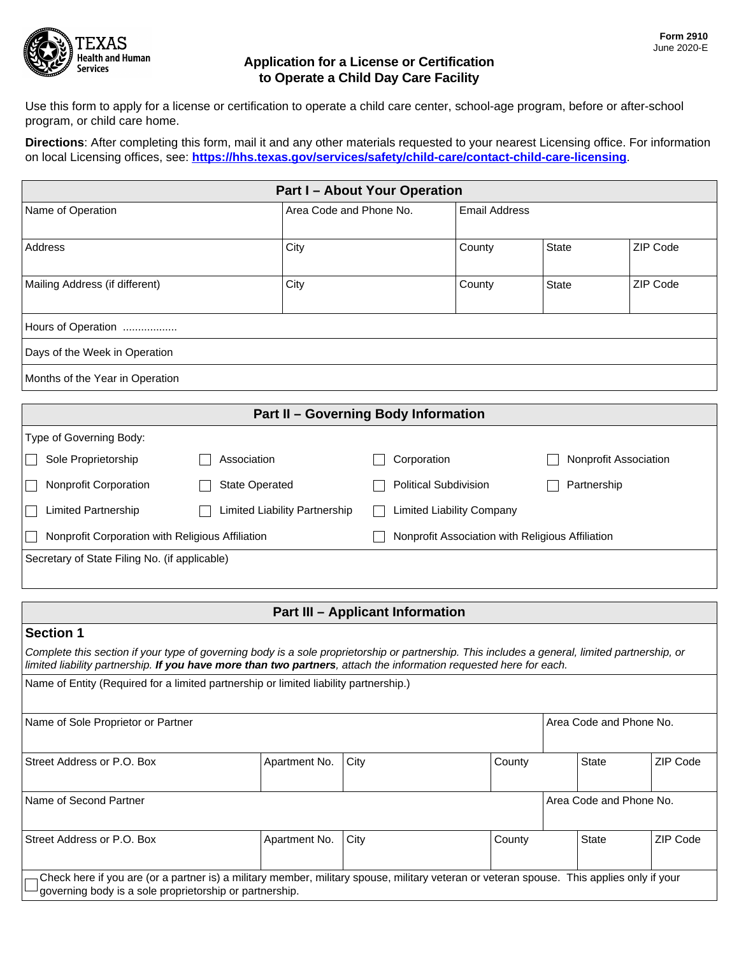

## **Application for a License or Certification to Operate a Child Day Care Facility**

Use this form to apply for a license or certification to operate a child care center, school-age program, before or after-school program, or child care home.

**Directions**: After completing this form, mail it and any other materials requested to your nearest Licensing office. For information on local Licensing offices, see: **<https://hhs.texas.gov/services/safety/child-care/contact-child-care-licensing>**.

| <b>Part I-About Your Operation</b> |             |                                             |                      |              |                       |  |
|------------------------------------|-------------|---------------------------------------------|----------------------|--------------|-----------------------|--|
| Name of Operation                  |             | Area Code and Phone No.                     | <b>Email Address</b> |              |                       |  |
| Address                            | City        |                                             | County               | State        | ZIP Code              |  |
| Mailing Address (if different)     | City        |                                             | County               | <b>State</b> | ZIP Code              |  |
| Hours of Operation                 |             |                                             |                      |              |                       |  |
| Days of the Week in Operation      |             |                                             |                      |              |                       |  |
| Months of the Year in Operation    |             |                                             |                      |              |                       |  |
|                                    |             | <b>Part II - Governing Body Information</b> |                      |              |                       |  |
| Type of Governing Body:            |             |                                             |                      |              |                       |  |
| Sole Proprietorship                | Association |                                             |                      |              | Nonprofit Association |  |
| <b>Nonprofit Corporation</b>       |             | <b>Political Subdivision</b>                | Partnership          |              |                       |  |

Limited Partnership Limited Liability Partnership Limited Liability Company Nonprofit Corporation with Religious Affiliation Nonprofit Association with Religious Affiliation

Secretary of State Filing No. (if applicable)

## **Part III – Applicant Information**

# **Section 1**

*Complete this section if your type of governing body is a sole proprietorship or partnership. This includes a general, limited partnership, or limited liability partnership. If you have more than two partners, attach the information requested here for each.*

| Name of Entity (Required for a limited partnership or limited liability partnership.) |
|---------------------------------------------------------------------------------------|
|---------------------------------------------------------------------------------------|

| Name of Sole Proprietor or Partner                                                                                                                                                                                              |               |      |        | Area Code and Phone No. |          |
|---------------------------------------------------------------------------------------------------------------------------------------------------------------------------------------------------------------------------------|---------------|------|--------|-------------------------|----------|
| Street Address or P.O. Box                                                                                                                                                                                                      | Apartment No. | City | County | <b>State</b>            | ZIP Code |
| Name of Second Partner                                                                                                                                                                                                          |               |      |        | Area Code and Phone No. |          |
| Street Address or P.O. Box                                                                                                                                                                                                      | Apartment No. | City | County | <b>State</b>            | ZIP Code |
| <sub>1</sub> Check here if you are (or a partner is) a military member, military spouse, military veteran or veteran spouse. This applies only if your<br>$\rightarrow$ governing body is a sole proprietorship or partnership. |               |      |        |                         |          |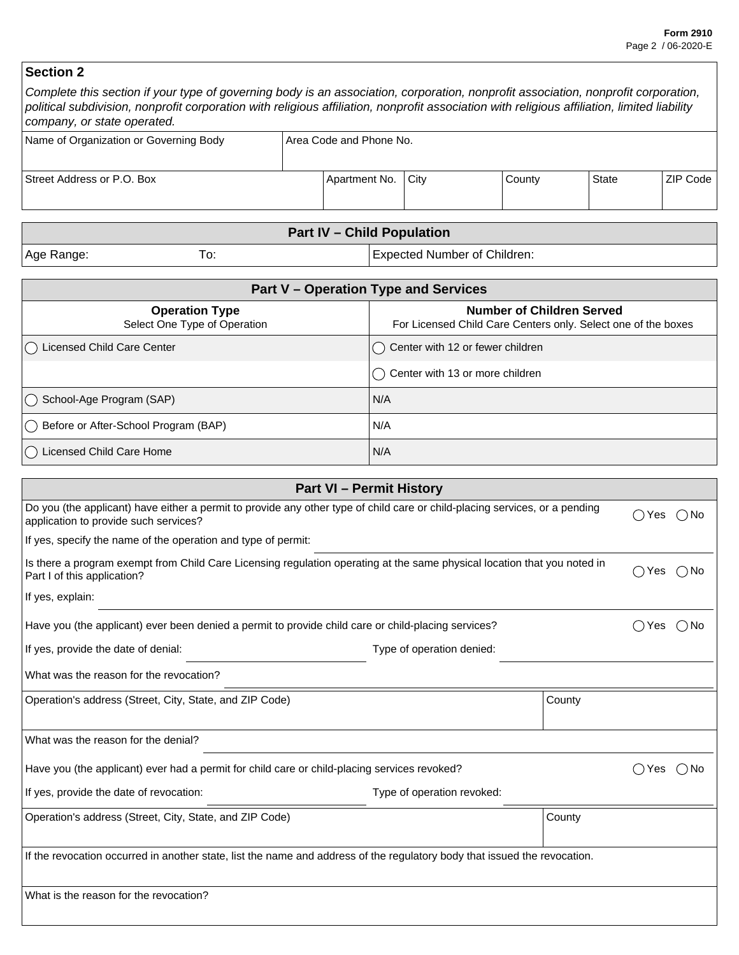# **Section 2**

| Complete this section if your type of governing body is an association, corporation, nonprofit association, nonprofit corporation,<br>political subdivision, nonprofit corporation with religious affiliation, nonprofit association with religious affiliation, limited liability<br>company, or state operated. |  |               |      |        |       |          |
|-------------------------------------------------------------------------------------------------------------------------------------------------------------------------------------------------------------------------------------------------------------------------------------------------------------------|--|---------------|------|--------|-------|----------|
| Name of Organization or Governing Body<br>Area Code and Phone No.                                                                                                                                                                                                                                                 |  |               |      |        |       |          |
| Street Address or P.O. Box                                                                                                                                                                                                                                                                                        |  | Apartment No. | City | County | State | ZIP Code |

| <b>Part IV - Child Population</b> |     |                                     |  |
|-----------------------------------|-----|-------------------------------------|--|
| Age Range:                        | ١ο. | <b>Expected Number of Children:</b> |  |

| <b>Part V - Operation Type and Services</b>           |                                                                                                   |  |  |
|-------------------------------------------------------|---------------------------------------------------------------------------------------------------|--|--|
| <b>Operation Type</b><br>Select One Type of Operation | <b>Number of Children Served</b><br>For Licensed Child Care Centers only. Select one of the boxes |  |  |
| Licensed Child Care Center                            | $\cup$ Center with 12 or fewer children                                                           |  |  |
|                                                       | $\left(\,\right)$ Center with 13 or more children                                                 |  |  |
| $\bigcap$ School-Age Program (SAP)                    | l N/A                                                                                             |  |  |
| () Before or After-School Program (BAP)               | N/A                                                                                               |  |  |
| Licensed Child Care Home                              | N/A                                                                                               |  |  |

| <b>Part VI - Permit History</b>                                                                                                                                      |                            |        |                                                      |          |
|----------------------------------------------------------------------------------------------------------------------------------------------------------------------|----------------------------|--------|------------------------------------------------------|----------|
| Do you (the applicant) have either a permit to provide any other type of child care or child-placing services, or a pending<br>application to provide such services? |                            |        | ( )<br>Yes                                           | $( )$ No |
| If yes, specify the name of the operation and type of permit:                                                                                                        |                            |        |                                                      |          |
| Is there a program exempt from Child Care Licensing regulation operating at the same physical location that you noted in<br>Part I of this application?              |                            |        |                                                      |          |
| If yes, explain:                                                                                                                                                     |                            |        |                                                      |          |
| Have you (the applicant) ever been denied a permit to provide child care or child-placing services?                                                                  |                            |        | Yes<br>$( \ )$                                       | ( ) No   |
| If yes, provide the date of denial:                                                                                                                                  | Type of operation denied:  |        |                                                      |          |
| What was the reason for the revocation?                                                                                                                              |                            |        |                                                      |          |
| Operation's address (Street, City, State, and ZIP Code)                                                                                                              |                            | County |                                                      |          |
| What was the reason for the denial?                                                                                                                                  |                            |        |                                                      |          |
| Have you (the applicant) ever had a permit for child care or child-placing services revoked?                                                                         |                            |        | Yes<br>$\left( \begin{array}{c} \end{array} \right)$ | ()No     |
| If yes, provide the date of revocation:                                                                                                                              | Type of operation revoked: |        |                                                      |          |
| Operation's address (Street, City, State, and ZIP Code)                                                                                                              |                            | County |                                                      |          |
| If the revocation occurred in another state, list the name and address of the regulatory body that issued the revocation.                                            |                            |        |                                                      |          |
| What is the reason for the revocation?                                                                                                                               |                            |        |                                                      |          |
|                                                                                                                                                                      |                            |        |                                                      |          |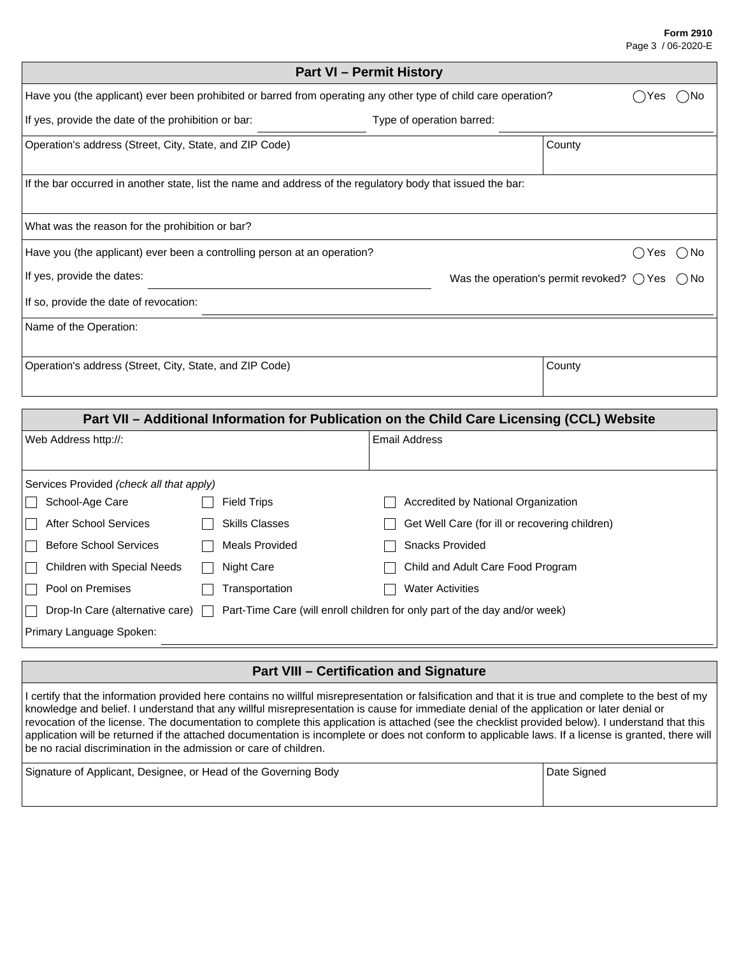#### **Form 2910** Page 3 / 06-2020-E

| <b>Part VI - Permit History</b>                                                                                |                           |                                                              |  |  |  |
|----------------------------------------------------------------------------------------------------------------|---------------------------|--------------------------------------------------------------|--|--|--|
| Have you (the applicant) ever been prohibited or barred from operating any other type of child care operation? |                           | Yes<br>⊃No                                                   |  |  |  |
| If yes, provide the date of the prohibition or bar:                                                            | Type of operation barred: |                                                              |  |  |  |
| Operation's address (Street, City, State, and ZIP Code)                                                        |                           | County                                                       |  |  |  |
| If the bar occurred in another state, list the name and address of the regulatory body that issued the bar:    |                           |                                                              |  |  |  |
| What was the reason for the prohibition or bar?                                                                |                           |                                                              |  |  |  |
| Have you (the applicant) ever been a controlling person at an operation?                                       |                           | ( ) No<br>Yes                                                |  |  |  |
| If yes, provide the dates:                                                                                     |                           | Was the operation's permit revoked? $\bigcirc$ Yes<br>( ) No |  |  |  |
| If so, provide the date of revocation:                                                                         |                           |                                                              |  |  |  |
| Name of the Operation:                                                                                         |                           |                                                              |  |  |  |
| Operation's address (Street, City, State, and ZIP Code)                                                        |                           | County                                                       |  |  |  |
|                                                                                                                |                           |                                                              |  |  |  |
| Part VII - Additional Information for Publication on the Child Care Licensing (CCL) Website                    |                           |                                                              |  |  |  |
| Web Address http://:                                                                                           | <b>Email Address</b>      |                                                              |  |  |  |

| Services Provided (check all that apply)                   |                       |                                                                                                                   |
|------------------------------------------------------------|-----------------------|-------------------------------------------------------------------------------------------------------------------|
| School-Age Care                                            | <b>Field Trips</b>    | Accredited by National Organization                                                                               |
| IГ<br><b>After School Services</b>                         | <b>Skills Classes</b> | Get Well Care (for ill or recovering children)                                                                    |
| <b>The Contract State</b><br><b>Before School Services</b> | <b>Meals Provided</b> | <b>Snacks Provided</b>                                                                                            |
| IN<br>Children with Special Needs                          | Night Care            | Child and Adult Care Food Program                                                                                 |
| Pool on Premises<br>$\mathbf{H}$                           | Transportation        | <b>Water Activities</b>                                                                                           |
| $\mathbf{I}$                                               |                       | Drop-In Care (alternative care) $\Box$ Part-Time Care (will enroll children for only part of the day and/or week) |
| Primary Language Spoken:                                   |                       |                                                                                                                   |
|                                                            |                       |                                                                                                                   |

## **Part VIII – Certification and Signature**

I certify that the information provided here contains no willful misrepresentation or falsification and that it is true and complete to the best of my knowledge and belief. I understand that any willful misrepresentation is cause for immediate denial of the application or later denial or revocation of the license. The documentation to complete this application is attached (see the checklist provided below). I understand that this application will be returned if the attached documentation is incomplete or does not conform to applicable laws. If a license is granted, there will be no racial discrimination in the admission or care of children.

| Signature of Applicant, Designee, or Head of the Governing Body | Date Signed |
|-----------------------------------------------------------------|-------------|
|                                                                 |             |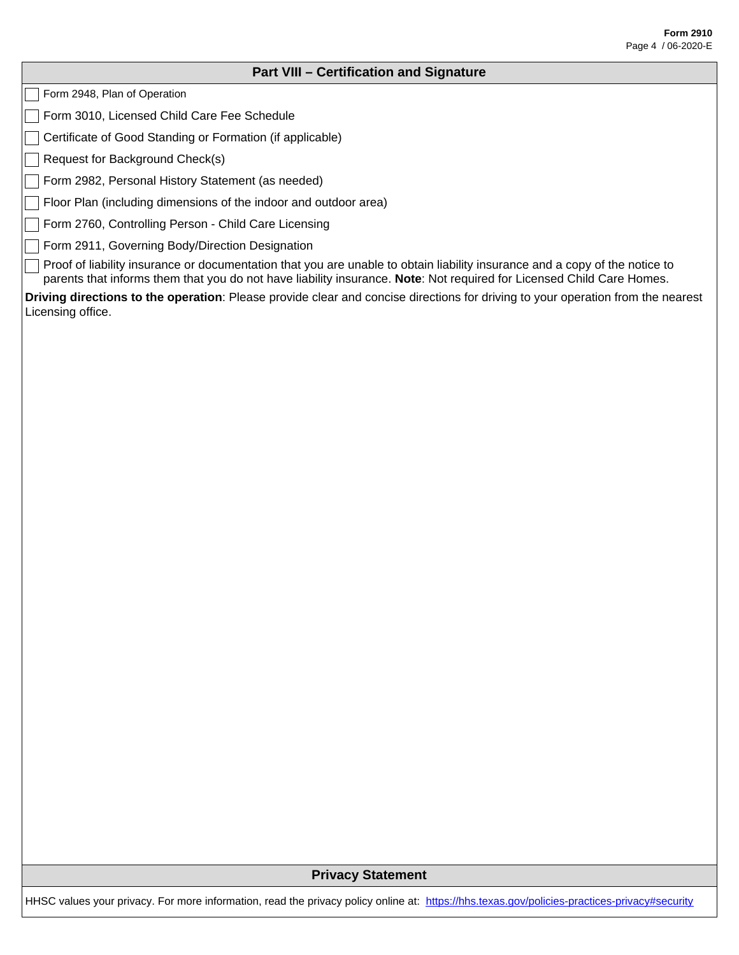### **Part VIII – Certification and Signature**

Form 2948, Plan of Operation

Form 3010, Licensed Child Care Fee Schedule

Certificate of Good Standing or Formation (if applicable)

Request for Background Check(s)

Form 2982, Personal History Statement (as needed)

Floor Plan (including dimensions of the indoor and outdoor area)

Form 2760, Controlling Person - Child Care Licensing

Form 2911, Governing Body/Direction Designation

Proof of liability insurance or documentation that you are unable to obtain liability insurance and a copy of the notice to parents that informs them that you do not have liability insurance. **Note**: Not required for Licensed Child Care Homes.

**Driving directions to the operation**: Please provide clear and concise directions for driving to your operation from the nearest Licensing office.

### **Privacy Statement**

HHSC values your privacy. For more information, read the privacy policy online at: <https://hhs.texas.gov/policies-practices-privacy#security>